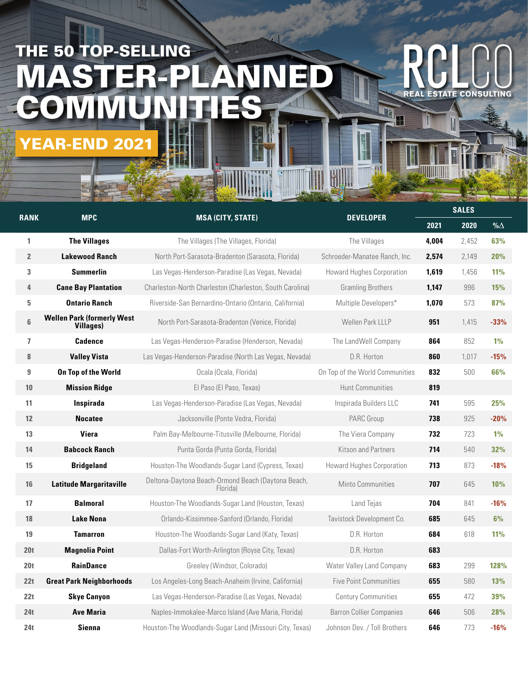## THE 50 TOP-SELLING MASTER-PLA COMMUN YEAR-END 202

| <b>RANK</b>              | <b>MPC</b>                                            | the company of the company of the company of the company of the company of the company of the company of<br><b>MSA (CITY, STATE)</b> | <b>DEVELOPER</b>                 | <b>SALES</b> |       |            |
|--------------------------|-------------------------------------------------------|--------------------------------------------------------------------------------------------------------------------------------------|----------------------------------|--------------|-------|------------|
|                          |                                                       |                                                                                                                                      |                                  | 2021         | 2020  | % $\Delta$ |
| 1                        | <b>The Villages</b>                                   | The Villages (The Villages, Florida)                                                                                                 | The Villages                     | 4,004        | 2,452 | 63%        |
| $\overline{2}$           | <b>Lakewood Ranch</b>                                 | North Port-Sarasota-Bradenton (Sarasota, Florida)                                                                                    | Schroeder-Manatee Ranch, Inc.    | 2,574        | 2,149 | 20%        |
| 3                        | <b>Summerlin</b>                                      | Las Vegas-Henderson-Paradise (Las Vegas, Nevada)                                                                                     | <b>Howard Hughes Corporation</b> | 1,619        | 1,456 | 11%        |
| 4                        | <b>Cane Bay Plantation</b>                            | Charleston-North Charleston (Charleston, South Carolina)                                                                             | <b>Gramling Brothers</b>         | 1,147        | 996   | 15%        |
| 5                        | <b>Ontario Ranch</b>                                  | Riverside-San Bernardino-Ontario (Ontario, California)                                                                               | Multiple Developers*             | 1,070        | 573   | 87%        |
| 6                        | <b>Wellen Park (formerly West</b><br><b>Villages)</b> | North Port-Sarasota-Bradenton (Venice, Florida)                                                                                      | Wellen Park LLLP                 | 951          | 1,415 | $-33%$     |
| $\overline{\phantom{a}}$ | <b>Cadence</b>                                        | Las Vegas-Henderson-Paradise (Henderson, Nevada)                                                                                     | The LandWell Company             | 864          | 852   | 1%         |
| 8                        | <b>Valley Vista</b>                                   | Las Vegas-Henderson-Paradise (North Las Vegas, Nevada)                                                                               | D.R. Horton                      | 860          | 1,017 | $-15%$     |
| 9                        | On Top of the World                                   | Ocala (Ocala, Florida)                                                                                                               | On Top of the World Communities  | 832          | 500   | 66%        |
| 10                       | <b>Mission Ridge</b>                                  | El Paso (El Paso, Texas)                                                                                                             | <b>Hunt Communities</b>          | 819          |       |            |
| 11                       | Inspirada                                             | Las Vegas-Henderson-Paradise (Las Vegas, Nevada)                                                                                     | Inspirada Builders LLC           | 741          | 595   | 25%        |
| 12                       | <b>Nocatee</b>                                        | Jacksonville (Ponte Vedra, Florida)                                                                                                  | PARC Group                       | 738          | 925   | $-20%$     |
| 13                       | Viera                                                 | Palm Bay-Melbourne-Titusville (Melbourne, Florida)                                                                                   | The Viera Company                | 732          | 723   | 1%         |
| 14                       | <b>Babcock Ranch</b>                                  | Punta Gorda (Punta Gorda, Florida)                                                                                                   | <b>Kitson and Partners</b>       | 714          | 540   | 32%        |
| 15                       | <b>Bridgeland</b>                                     | Houston-The Woodlands-Sugar Land (Cypress, Texas)                                                                                    | <b>Howard Hughes Corporation</b> | 713          | 873   | $-18%$     |
| 16                       | <b>Latitude Margaritaville</b>                        | Deltona-Daytona Beach-Ormond Beach (Daytona Beach,<br>Florida)                                                                       | Minto Communities                | 707          | 645   | <b>10%</b> |
| 17                       | <b>Balmoral</b>                                       | Houston-The Woodlands-Sugar Land (Houston, Texas)                                                                                    | Land Tejas                       | 704          | 841   | $-16%$     |
| 18                       | <b>Lake Nona</b>                                      | Orlando-Kissimmee-Sanford (Orlando, Florida)                                                                                         | Tavistock Development Co.        | 685          | 645   | 6%         |
| 19                       | <b>Tamarron</b>                                       | Houston-The Woodlands-Sugar Land (Katy, Texas)                                                                                       | D.R. Horton                      | 684          | 618   | <b>11%</b> |
| 20 <sub>t</sub>          | <b>Magnolia Point</b>                                 | Dallas-Fort Worth-Arlington (Royse City, Texas)                                                                                      | D.R. Horton                      | 683          |       |            |
| 20t                      | <b>RainDance</b>                                      | Greeley (Windsor, Colorado)                                                                                                          | Water Valley Land Company        | 683          | 299   | 128%       |
| 22t                      | <b>Great Park Neighborhoods</b>                       | Los Angeles-Long Beach-Anaheim (Irvine, California)                                                                                  | <b>Five Point Communities</b>    | 655          | 580   | 13%        |
| 22t                      | <b>Skye Canyon</b>                                    | Las Vegas-Henderson-Paradise (Las Vegas, Nevada)                                                                                     | <b>Century Communities</b>       | 655          | 472   | 39%        |
| 24t                      | <b>Ave Maria</b>                                      | Naples-Immokalee-Marco Island (Ave Maria, Florida)                                                                                   | <b>Barron Collier Companies</b>  | 646          | 506   | 28%        |
| 24t                      | Sienna                                                | Houston-The Woodlands-Sugar Land (Missouri City, Texas)                                                                              | Johnson Dev. / Toll Brothers     | 646          | 773   | $-16%$     |

**REAL ESTATE CONSULTING**

E

<u> UIII</u>

G  $\overline{\mathbf{H}}$